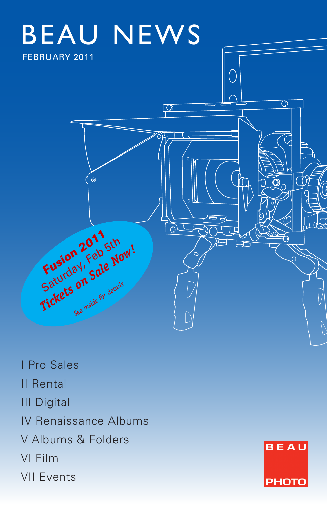

I Pro Sales II Rental III Digital IV Renaissance Albums V Albums & Folders VI Film VII Events

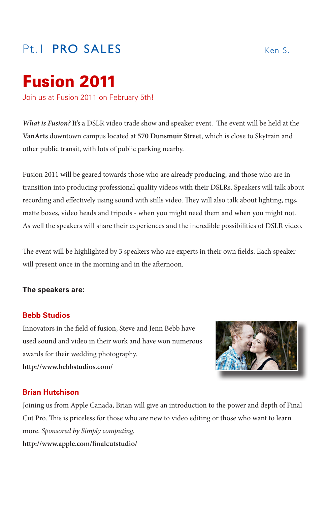# Pt. **PRO SALES Ken S.**

# Fusion 2011

Join us at Fusion 2011 on February 5th!

*What is Fusion?* It's a DSLR video trade show and speaker event. The event will be held at the **VanArts** downtown campus located at **570 Dunsmuir Street**, which is close to Skytrain and other public transit, with lots of public parking nearby.

Fusion 2011 will be geared towards those who are already producing, and those who are in transition into producing professional quality videos with their DSLRs. Speakers will talk about recording and effectively using sound with stills video. They will also talk about lighting, rigs, matte boxes, video heads and tripods - when you might need them and when you might not. As well the speakers will share their experiences and the incredible possibilities of DSLR video.

The event will be highlighted by 3 speakers who are experts in their own fields. Each speaker will present once in the morning and in the afternoon.

### **The speakers are:**

### **Bebb Studios**

Innovators in the field of fusion, Steve and Jenn Bebb have used sound and video in their work and have won numerous awards for their wedding photography. **http://www.bebbstudios.com/**



### **Brian Hutchison**

Joining us from Apple Canada, Brian will give an introduction to the power and depth of Final Cut Pro. This is priceless for those who are new to video editing or those who want to learn more. *Sponsored by Simply computing.* **http://www.apple.com/finalcutstudio/**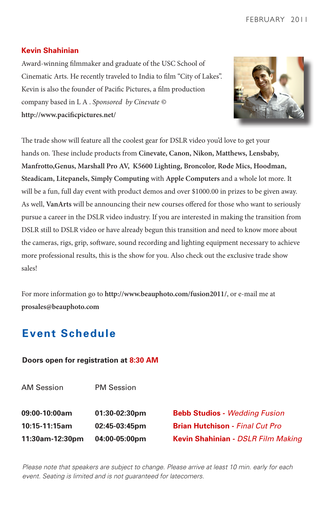### **Kevin Shahinian**

Award-winning filmmaker and graduate of the USC School of Cinematic Arts. He recently traveled to India to film "City of Lakes". Kevin is also the founder of Pacific Pictures, a film production company based in L A . *Sponsored by Cinevate ©* **http://www.pacificpictures.net/**



The trade show will feature all the coolest gear for DSLR video you'd love to get your hands on. These include products from **Cinevate, Canon, Nikon, Matthews, Lensbaby, Manfrotto,Genus, Marshall Pro AV, K5600 Lighting, Broncolor, Røde Mics, Hoodman, Steadicam, Litepanels, Simply Computing** with **Apple Computers** and a whole lot more. It will be a fun, full day event with product demos and over \$1000.00 in prizes to be given away. As well, **VanArts** will be announcing their new courses offered for those who want to seriously pursue a career in the DSLR video industry. If you are interested in making the transition from DSLR still to DSLR video or have already begun this transition and need to know more about the cameras, rigs, grip, software, sound recording and lighting equipment necessary to achieve more professional results, this is the show for you. Also check out the exclusive trade show sales!

For more information go to **http://www.beauphoto.com/fusion2011/**, or e-mail me at **prosales@beauphoto.com**

# **Event Schedule**

### **Doors open for registration at 8:30 AM**

AM Session **09:00-10:00am 10:15-11:15am 11:30am-12:30pm** PM Session **01:30-02:30pm 02:45-03:45pm 04:00-05:00pm**

**Bebb Studios -** *Wedding Fusion*  **Brian Hutchison -** *Final Cut Pro* **Kevin Shahinian -** *DSLR Film Making*

*Please note that speakers are subject to change. Please arrive at least 10 min. early for each event. Seating is limited and is not guaranteed for latecomers.*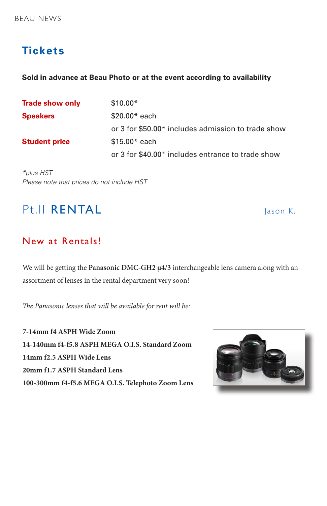# **Tickets**

### **Sold in advance at Beau Photo or at the event according to availability**

| <b>Trade show only</b> | $$10.00*$                                          |
|------------------------|----------------------------------------------------|
| <b>Speakers</b>        | $$20.00*$ each                                     |
|                        | or 3 for \$50.00* includes admission to trade show |
| <b>Student price</b>   | $$15.00*$ each                                     |
|                        | or 3 for \$40.00* includes entrance to trade show  |

*\*plus HST Please note that prices do not include HST*

# Pt.II RENTAL Jason K.

## New at Rentals!

We will be getting the **Panasonic DMC-GH2 µ4/3** interchangeable lens camera along with an assortment of lenses in the rental department very soon!

*The Panasonic lenses that will be available for rent will be:*

**7-14mm f4 ASPH Wide Zoom 14-140mm f4-f5.8 ASPH MEGA O.I.S. Standard Zoom 14mm f2.5 ASPH Wide Lens 20mm f1.7 ASPH Standard Lens 100-300mm f4-f5.6 MEGA O.I.S. Telephoto Zoom Lens**

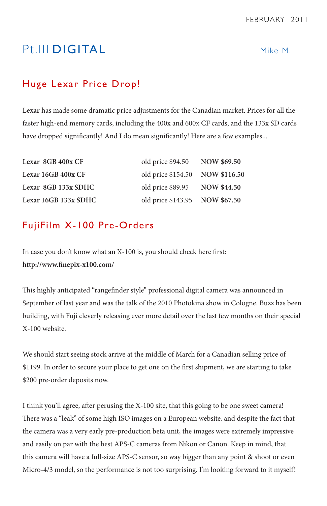# Pt. III **DIGITAL** Mike M.

# Huge Lexar Price Drop!

**Lexar** has made some dramatic price adjustments for the Canadian market. Prices for all the faster high-end memory cards, including the 400x and 600x CF cards, and the 133x SD cards have dropped significantly! And I do mean significantly! Here are a few examples...

| Lexar 8GB 400x CF    | old price \$94.50 NOW \$69.50   |  |
|----------------------|---------------------------------|--|
| Lexar 16GB 400x CF   | old price \$154.50 NOW \$116.50 |  |
| Lexar 8GB 133x SDHC  | old price \$89.95 NOW \$44.50   |  |
| Lexar 16GB 133x SDHC | old price \$143.95 NOW \$67.50  |  |

### FujiFilm X-100 Pre-Orders

In case you don't know what an X-100 is, you should check here first: **http://www.finepix-x100.com/**

This highly anticipated "rangefinder style" professional digital camera was announced in September of last year and was the talk of the 2010 Photokina show in Cologne. Buzz has been building, with Fuji cleverly releasing ever more detail over the last few months on their special X-100 website.

We should start seeing stock arrive at the middle of March for a Canadian selling price of \$1199. In order to secure your place to get one on the first shipment, we are starting to take \$200 pre-order deposits now.

I think you'll agree, after perusing the X-100 site, that this going to be one sweet camera! There was a "leak" of some high ISO images on a European website, and despite the fact that the camera was a very early pre-production beta unit, the images were extremely impressive and easily on par with the best APS-C cameras from Nikon or Canon. Keep in mind, that this camera will have a full-size APS-C sensor, so way bigger than any point & shoot or even Micro-4/3 model, so the performance is not too surprising. I'm looking forward to it myself!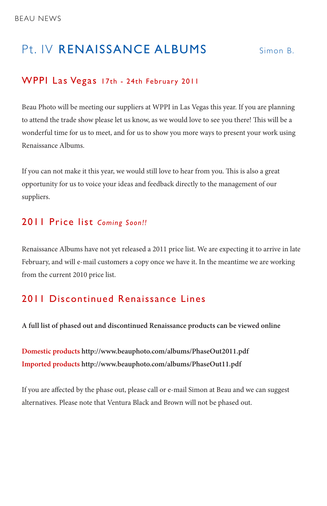# Pt. IV RENAISSANCE ALBUMS Simon B.

### WPPI Las Vegas 17th - 24th February 2011

Beau Photo will be meeting our suppliers at WPPI in Las Vegas this year. If you are planning to attend the trade show please let us know, as we would love to see you there! This will be a wonderful time for us to meet, and for us to show you more ways to present your work using Renaissance Albums.

If you can not make it this year, we would still love to hear from you. This is also a great opportunity for us to voice your ideas and feedback directly to the management of our suppliers.

### 2011 Price list *Coming Soon!!*

Renaissance Albums have not yet released a 2011 price list. We are expecting it to arrive in late February, and will e-mail customers a copy once we have it. In the meantime we are working from the current 2010 price list.

## 2011 Discontinued Renaissance Lines

**A full list of phased out and discontinued Renaissance products can be viewed online**

**Domestic products http://www.beauphoto.com/albums/PhaseOut2011.pdf Imported products http://www.beauphoto.com/albums/PhaseOut11.pdf**

If you are affected by the phase out, please call or e-mail Simon at Beau and we can suggest alternatives. Please note that Ventura Black and Brown will not be phased out.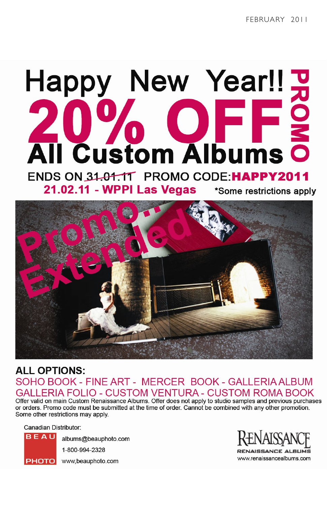# Happy New Year!!<br>20% OFFS<br>All Custom Albums o

ENDS ON 31.01.11 PROMO CODE:HAPPY2011 21.02.11 - WPPI Las Vegas \*Some restrictions apply



# **ALL OPTIONS:** SOHO BOOK - FINE ART - MERCER BOOK - GALLERIA ALBUM ERIA FOLIO - CUSTOM VENTURA - CUSTOM ROMA BOOK

Offer valid on main Custom Renaissance Albums. Offer does not apply to studio samples and previous purchases or orders. Promo code must be submitted at the time of order. Cannot be combined with any other promotion. Some other restrictions may apply.

Canadian Distributor:



albums@beauphoto.com 1-800-994-2328

www.renaissancealbums.com

www,beauphoto.com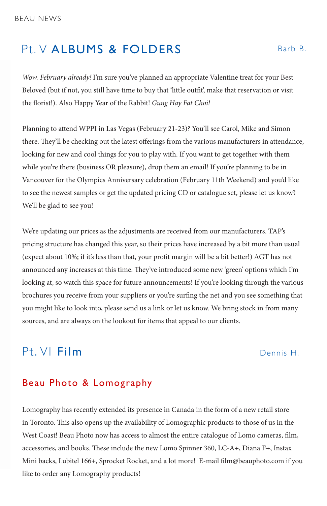# Pt. V ALBUMS & FOLDERS Barb B.

*Wow. February already!* I'm sure you've planned an appropriate Valentine treat for your Best Beloved (but if not, you still have time to buy that 'little outfit', make that reservation or visit the florist!). Also Happy Year of the Rabbit! *Gung Hay Fat Choi!*

Planning to attend WPPI in Las Vegas (February 21-23)? You'll see Carol, Mike and Simon there. They'll be checking out the latest offerings from the various manufacturers in attendance, looking for new and cool things for you to play with. If you want to get together with them while you're there (business OR pleasure), drop them an email! If you're planning to be in Vancouver for the Olympics Anniversary celebration (February 11th Weekend) and you'd like to see the newest samples or get the updated pricing CD or catalogue set, please let us know? We'll be glad to see you!

We're updating our prices as the adjustments are received from our manufacturers. TAP's pricing structure has changed this year, so their prices have increased by a bit more than usual (expect about 10%; if it's less than that, your profit margin will be a bit better!) AGT has not announced any increases at this time. They've introduced some new 'green' options which I'm looking at, so watch this space for future announcements! If you're looking through the various brochures you receive from your suppliers or you're surfing the net and you see something that you might like to look into, please send us a link or let us know. We bring stock in from many sources, and are always on the lookout for items that appeal to our clients.

# Pt. VI Film Dennis H.

## Beau Photo & Lomography

Lomography has recently extended its presence in Canada in the form of a new retail store in Toronto. This also opens up the availability of Lomographic products to those of us in the West Coast! Beau Photo now has access to almost the entire catalogue of Lomo cameras, film, accessories, and books. These include the new Lomo Spinner 360, LC-A+, Diana F+, Instax Mini backs, Lubitel 166+, Sprocket Rocket, and a lot more! E-mail film@beauphoto.com if you like to order any Lomography products!